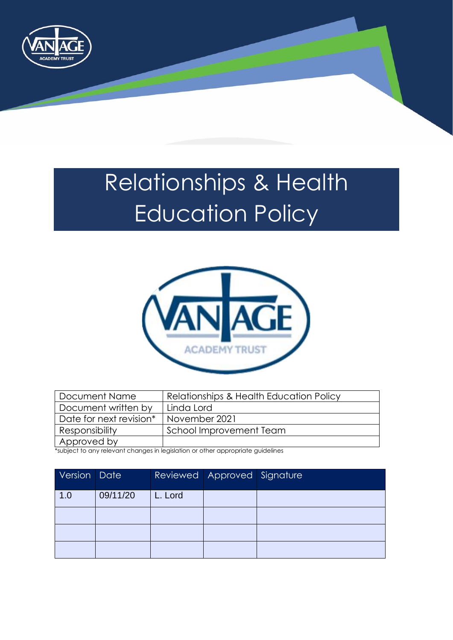

# <span id="page-0-0"></span>Relationships & Health Education Policy



| Document Name           | Relationships & Health Education Policy |  |
|-------------------------|-----------------------------------------|--|
| Document written by     | Linda Lord                              |  |
| Date for next revision* | November 2021                           |  |
| <b>Responsibility</b>   | School Improvement Team                 |  |
| Approved by             |                                         |  |

\*subject to any relevant changes in legislation or other appropriate guidelines

| Version Date |          |         | Reviewed   Approved   Signature |  |
|--------------|----------|---------|---------------------------------|--|
| 1.0          | 09/11/20 | L. Lord |                                 |  |
|              |          |         |                                 |  |
|              |          |         |                                 |  |
|              |          |         |                                 |  |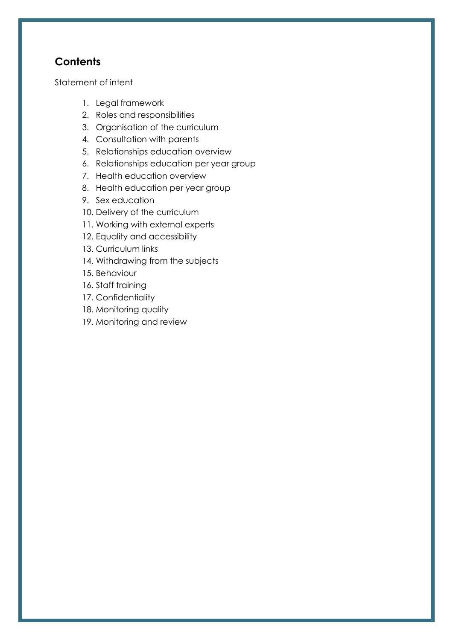# **Contents**

[Statement of intent](#page-2-0)

- 1. [Legal framework](#page-0-0)
- 2. [Roles and responsibilities](#page-3-0)
- 3. [Organisation of the curriculum](#page-5-0)
- 4. [Consultation with parents](#page-6-0)
- 5. [Relationships education overview](#page-6-1)
- 6. [Relationships education per year group](#page-9-0)
- 7. [Health education overview](#page-9-1)
- 8. [Health education per year group](#page-12-0)
- 9. [Sex education](#page-12-1)
- 10. [Delivery of the curriculum](#page-12-2)
- 11. [Working with external experts](#page-14-0)
- 12. [Equality and accessibility](#page-15-0)
- 13. [Curriculum links](#page-16-0)
- 14. [Withdrawing from the subjects](#page-16-1)
- 15. [Behaviour](#page-17-0)
- 16. [Staff training](#page-17-1)
- 17. [Confidentiality](#page-18-0)
- 18. [Monitoring quality](#page-18-1)
- 19. [Monitoring and review](#page-18-2)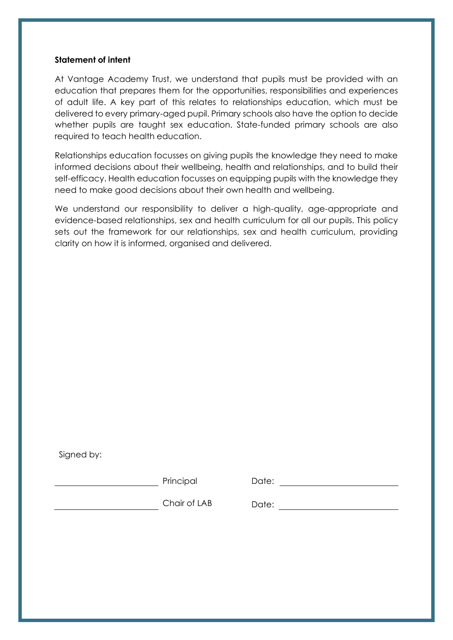#### <span id="page-2-0"></span>**Statement of intent**

At Vantage Academy Trust, we understand that pupils must be provided with an education that prepares them for the opportunities, responsibilities and experiences of adult life. A key part of this relates to relationships education, which must be delivered to every primary-aged pupil. Primary schools also have the option to decide whether pupils are taught sex education. State-funded primary schools are also required to teach health education.

Relationships education focusses on giving pupils the knowledge they need to make informed decisions about their wellbeing, health and relationships, and to build their self-efficacy. Health education focusses on equipping pupils with the knowledge they need to make good decisions about their own health and wellbeing.

We understand our responsibility to deliver a high-quality, age-appropriate and evidence-based relationships, sex and health curriculum for all our pupils. This policy sets out the framework for our relationships, sex and health curriculum, providing clarity on how it is informed, organised and delivered.

Signed by:

Principal Date:

\_\_\_\_\_\_\_\_\_\_\_\_\_\_\_\_\_\_\_\_\_\_\_\_\_Chair of LAB Date: \_\_\_\_\_\_\_\_\_\_\_\_\_\_\_\_\_\_\_\_\_\_\_\_\_\_\_\_\_\_\_\_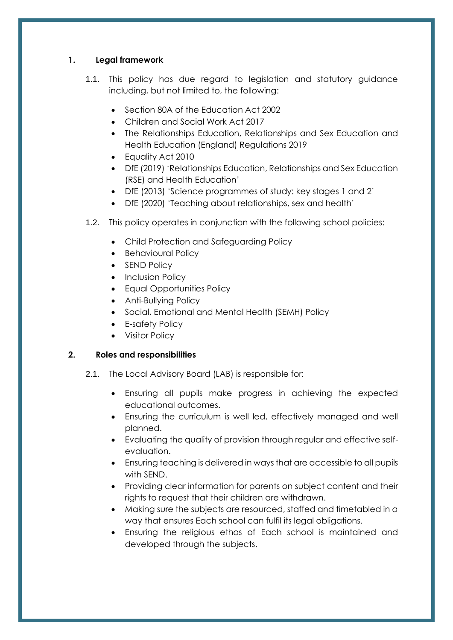# **1. Legal framework**

- 1.1. This policy has due regard to legislation and statutory guidance including, but not limited to, the following:
	- Section 80A of the Education Act 2002
	- Children and Social Work Act 2017
	- The Relationships Education, Relationships and Sex Education and Health Education (England) Regulations 2019
	- Equality Act 2010
	- DfE (2019) 'Relationships Education, Relationships and Sex Education (RSE) and Health Education'
	- DfE (2013) 'Science programmes of study: key stages 1 and 2'
	- DfE (2020) 'Teaching about relationships, sex and health'
- 1.2. This policy operates in conjunction with the following school policies:
	- Child Protection and Safeguarding Policy
	- Behavioural Policy
	- SEND Policy
	- Inclusion Policy
	- Equal Opportunities Policy
	- Anti-Bullying Policy
	- Social, Emotional and Mental Health (SEMH) Policy
	- E-safety Policy
	- Visitor Policy

# <span id="page-3-0"></span>**2. Roles and responsibilities**

- 2.1. The Local Advisory Board (LAB) is responsible for:
	- Ensuring all pupils make progress in achieving the expected educational outcomes.
	- Ensuring the curriculum is well led, effectively managed and well planned.
	- Evaluating the quality of provision through regular and effective selfevaluation.
	- Ensuring teaching is delivered in ways that are accessible to all pupils with SEND.
	- Providing clear information for parents on subject content and their rights to request that their children are withdrawn.
	- Making sure the subjects are resourced, staffed and timetabled in a way that ensures Each school can fulfil its legal obligations.
	- Ensuring the religious ethos of Each school is maintained and developed through the subjects.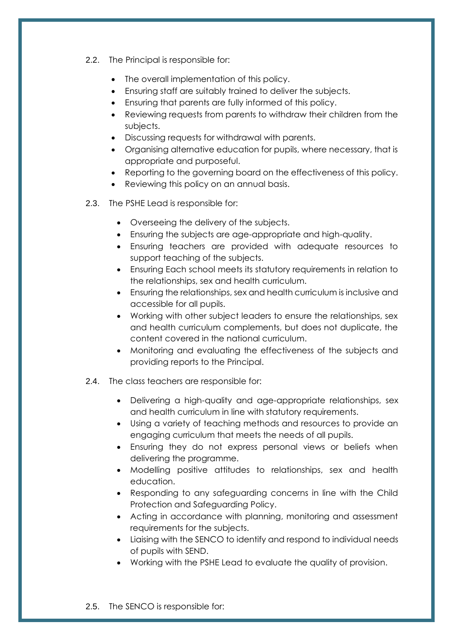2.2. The Principal is responsible for:

- The overall implementation of this policy.
- Ensuring staff are suitably trained to deliver the subjects.
- Ensuring that parents are fully informed of this policy.
- Reviewing requests from parents to withdraw their children from the subjects.
- Discussing requests for withdrawal with parents.
- Organising alternative education for pupils, where necessary, that is appropriate and purposeful.
- Reporting to the governing board on the effectiveness of this policy.
- Reviewing this policy on an annual basis.
- 2.3. The PSHE Lead is responsible for:
	- Overseeing the delivery of the subjects.
	- Ensuring the subjects are age-appropriate and high-quality.
	- Ensuring teachers are provided with adequate resources to support teaching of the subjects.
	- Ensuring Each school meets its statutory requirements in relation to the relationships, sex and health curriculum.
	- Ensuring the relationships, sex and health curriculum is inclusive and accessible for all pupils.
	- Working with other subject leaders to ensure the relationships, sex and health curriculum complements, but does not duplicate, the content covered in the national curriculum.
	- Monitoring and evaluating the effectiveness of the subjects and providing reports to the Principal.
- 2.4. The class teachers are responsible for:
	- Delivering a high-quality and age-appropriate relationships, sex and health curriculum in line with statutory requirements.
	- Using a variety of teaching methods and resources to provide an engaging curriculum that meets the needs of all pupils.
	- Ensuring they do not express personal views or beliefs when delivering the programme.
	- Modelling positive attitudes to relationships, sex and health education.
	- Responding to any safeguarding concerns in line with the Child Protection and Safeguarding Policy.
	- Acting in accordance with planning, monitoring and assessment requirements for the subjects.
	- Liaising with the SENCO to identify and respond to individual needs of pupils with SEND.
	- Working with the PSHE Lead to evaluate the quality of provision.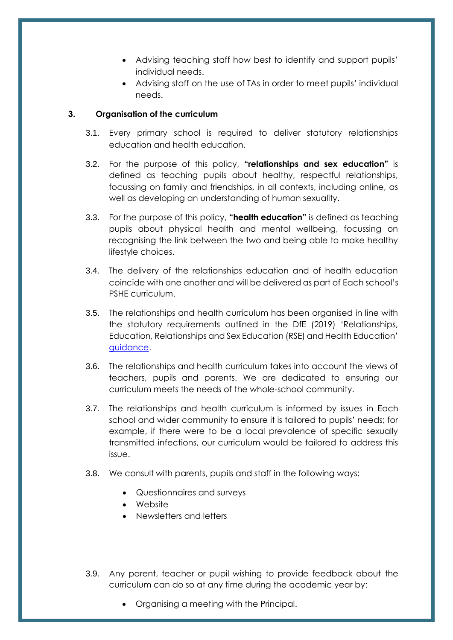- Advising teaching staff how best to identify and support pupils' individual needs.
- Advising staff on the use of TAs in order to meet pupils' individual needs.

# <span id="page-5-0"></span>**3. Organisation of the curriculum**

- 3.1. Every primary school is required to deliver statutory relationships education and health education.
- 3.2. For the purpose of this policy, **"relationships and sex education"** is defined as teaching pupils about healthy, respectful relationships, focussing on family and friendships, in all contexts, including online, as well as developing an understanding of human sexuality.
- 3.3. For the purpose of this policy, **"health education"** is defined as teaching pupils about physical health and mental wellbeing, focussing on recognising the link between the two and being able to make healthy lifestyle choices.
- 3.4. The delivery of the relationships education and of health education coincide with one another and will be delivered as part of Each school's PSHE curriculum.
- 3.5. The relationships and health curriculum has been organised in line with the statutory requirements outlined in the DfE (2019) 'Relationships, Education, Relationships and Sex Education (RSE) and Health Education' [guidance.](https://www.gov.uk/government/publications/relationships-education-relationships-and-sex-education-rse-and-health-education)
- 3.6. The relationships and health curriculum takes into account the views of teachers, pupils and parents. We are dedicated to ensuring our curriculum meets the needs of the whole-school community.
- 3.7. The relationships and health curriculum is informed by issues in Each school and wider community to ensure it is tailored to pupils' needs; for example, if there were to be a local prevalence of specific sexually transmitted infections, our curriculum would be tailored to address this issue.
- 3.8. We consult with parents, pupils and staff in the following ways:
	- Questionnaires and surveys
	- Website
	- Newsletters and letters
- 3.9. Any parent, teacher or pupil wishing to provide feedback about the curriculum can do so at any time during the academic year by:
	- Organising a meeting with the Principal.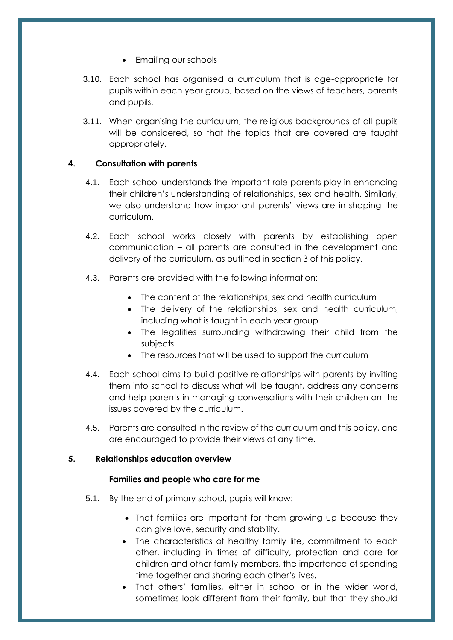- Emailing our schools
- 3.10. Each school has organised a curriculum that is age-appropriate for pupils within each year group, based on the views of teachers, parents and pupils.
- 3.11. When organising the curriculum, the religious backgrounds of all pupils will be considered, so that the topics that are covered are taught appropriately.

# <span id="page-6-0"></span>**4. Consultation with parents**

- 4.1. Each school understands the important role parents play in enhancing their children's understanding of relationships, sex and health. Similarly, we also understand how important parents' views are in shaping the curriculum.
- 4.2. Each school works closely with parents by establishing open communication – all parents are consulted in the development and delivery of the curriculum, as outlined in [section 3](#page-5-0) of this policy.
- 4.3. Parents are provided with the following information:
	- The content of the relationships, sex and health curriculum
	- The delivery of the relationships, sex and health curriculum, including what is taught in each year group
	- The legalities surrounding withdrawing their child from the subjects
	- The resources that will be used to support the curriculum
- 4.4. Each school aims to build positive relationships with parents by inviting them into school to discuss what will be taught, address any concerns and help parents in managing conversations with their children on the issues covered by the curriculum.
- 4.5. Parents are consulted in the review of the curriculum and this policy, and are encouraged to provide their views at any time.

# <span id="page-6-1"></span>**5. Relationships education overview**

# **Families and people who care for me**

- 5.1. By the end of primary school, pupils will know:
	- That families are important for them growing up because they can give love, security and stability.
	- The characteristics of healthy family life, commitment to each other, including in times of difficulty, protection and care for children and other family members, the importance of spending time together and sharing each other's lives.
	- That others' families, either in school or in the wider world, sometimes look different from their family, but that they should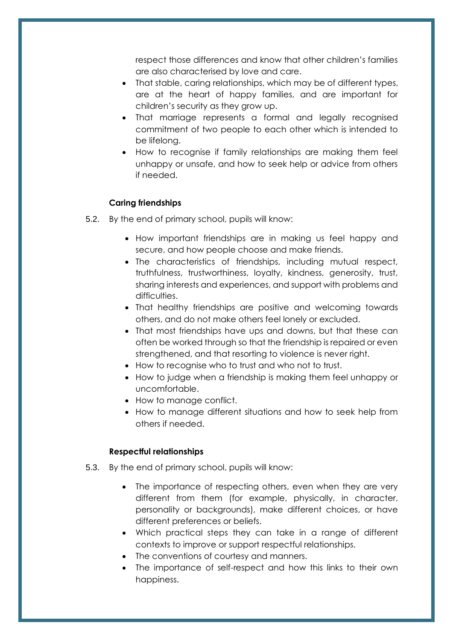respect those differences and know that other children's families are also characterised by love and care.

- That stable, caring relationships, which may be of different types, are at the heart of happy families, and are important for children's security as they grow up.
- That marriage represents a formal and legally recognised commitment of two people to each other which is intended to be lifelong.
- How to recognise if family relationships are making them feel unhappy or unsafe, and how to seek help or advice from others if needed.

#### **Caring friendships**

- 5.2. By the end of primary school, pupils will know:
	- How important friendships are in making us feel happy and secure, and how people choose and make friends.
	- The characteristics of friendships, including mutual respect, truthfulness, trustworthiness, loyalty, kindness, generosity, trust, sharing interests and experiences, and support with problems and difficulties.
	- That healthy friendships are positive and welcoming towards others, and do not make others feel lonely or excluded.
	- That most friendships have ups and downs, but that these can often be worked through so that the friendship is repaired or even strengthened, and that resorting to violence is never right.
	- How to recognise who to trust and who not to trust.
	- How to judge when a friendship is making them feel unhappy or uncomfortable.
	- How to manage conflict.
	- How to manage different situations and how to seek help from others if needed.

#### **Respectful relationships**

- 5.3. By the end of primary school, pupils will know:
	- The importance of respecting others, even when they are very different from them (for example, physically, in character, personality or backgrounds), make different choices, or have different preferences or beliefs.
	- Which practical steps they can take in a range of different contexts to improve or support respectful relationships.
	- The conventions of courtesy and manners.
	- The importance of self-respect and how this links to their own happiness.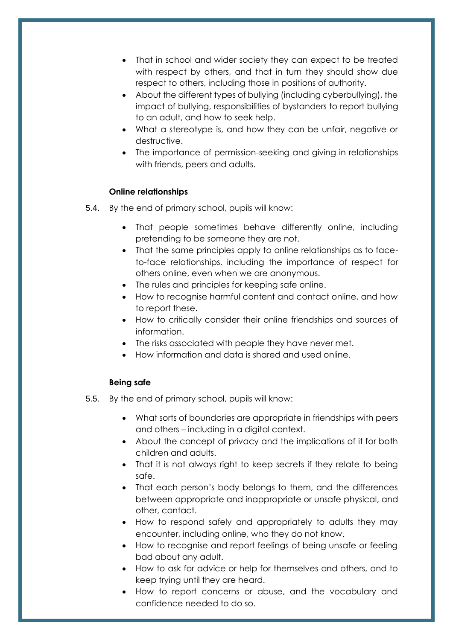- That in school and wider society they can expect to be treated with respect by others, and that in turn they should show due respect to others, including those in positions of authority.
- About the different types of bullying (including cyberbullying), the impact of bullying, responsibilities of bystanders to report bullying to an adult, and how to seek help.
- What a stereotype is, and how they can be unfair, negative or destructive.
- The importance of permission-seeking and giving in relationships with friends, peers and adults.

#### **Online relationships**

- 5.4. By the end of primary school, pupils will know:
	- That people sometimes behave differently online, including pretending to be someone they are not.
	- That the same principles apply to online relationships as to faceto-face relationships, including the importance of respect for others online, even when we are anonymous.
	- The rules and principles for keeping safe online.
	- How to recognise harmful content and contact online, and how to report these.
	- How to critically consider their online friendships and sources of information.
	- The risks associated with people they have never met.
	- How information and data is shared and used online.

#### **Being safe**

- 5.5. By the end of primary school, pupils will know:
	- What sorts of boundaries are appropriate in friendships with peers and others – including in a digital context.
	- About the concept of privacy and the implications of it for both children and adults.
	- That it is not always right to keep secrets if they relate to being safe.
	- That each person's body belongs to them, and the differences between appropriate and inappropriate or unsafe physical, and other, contact.
	- How to respond safely and appropriately to adults they may encounter, including online, who they do not know.
	- How to recognise and report feelings of being unsafe or feeling bad about any adult.
	- How to ask for advice or help for themselves and others, and to keep trying until they are heard.
	- How to report concerns or abuse, and the vocabulary and confidence needed to do so.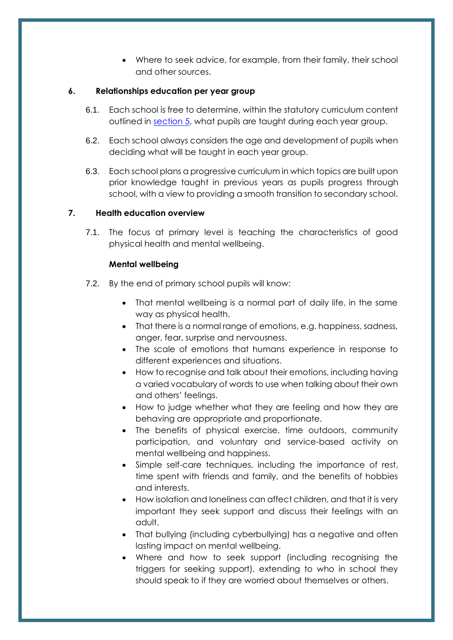• Where to seek advice, for example, from their family, their school and other sources.

# <span id="page-9-0"></span>**6. Relationships education per year group**

- 6.1. Each school is free to determine, within the statutory curriculum content outlined in [section 5,](#page-6-1) what pupils are taught during each year group.
- 6.2. Each school always considers the age and development of pupils when deciding what will be taught in each year group.
- 6.3. Each school plans a progressive curriculum in which topics are built upon prior knowledge taught in previous years as pupils progress through school, with a view to providing a smooth transition to secondary school.

# <span id="page-9-1"></span>**7. Health education overview**

7.1. The focus at primary level is teaching the characteristics of good physical health and mental wellbeing.

#### **Mental wellbeing**

- 7.2. By the end of primary school pupils will know:
	- That mental wellbeing is a normal part of daily life, in the same way as physical health.
	- That there is a normal range of emotions, e.g. happiness, sadness, anger, fear, surprise and nervousness.
	- The scale of emotions that humans experience in response to different experiences and situations.
	- How to recognise and talk about their emotions, including having a varied vocabulary of words to use when talking about their own and others' feelings.
	- How to judge whether what they are feeling and how they are behaving are appropriate and proportionate.
	- The benefits of physical exercise, time outdoors, community participation, and voluntary and service-based activity on mental wellbeing and happiness.
	- Simple self-care techniques, including the importance of rest, time spent with friends and family, and the benefits of hobbies and interests.
	- How isolation and loneliness can affect children, and that it is very important they seek support and discuss their feelings with an adult.
	- That bullying (including cyberbullying) has a negative and often lasting impact on mental wellbeing.
	- Where and how to seek support (including recognising the triggers for seeking support), extending to who in school they should speak to if they are worried about themselves or others.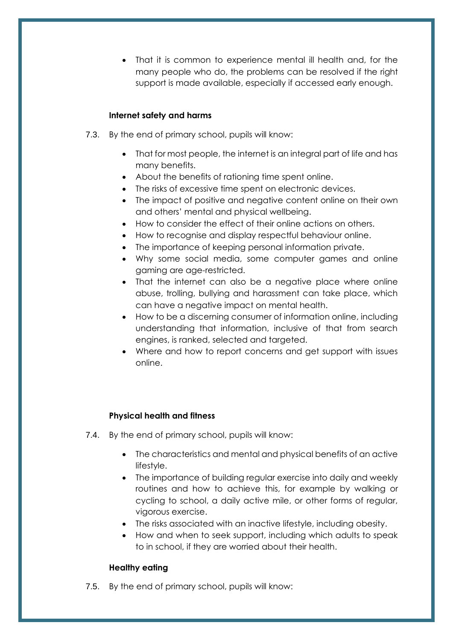• That it is common to experience mental ill health and, for the many people who do, the problems can be resolved if the right support is made available, especially if accessed early enough.

# **Internet safety and harms**

- 7.3. By the end of primary school, pupils will know:
	- That for most people, the internet is an integral part of life and has many benefits.
	- About the benefits of rationing time spent online.
	- The risks of excessive time spent on electronic devices.
	- The impact of positive and negative content online on their own and others' mental and physical wellbeing.
	- How to consider the effect of their online actions on others.
	- How to recognise and display respectful behaviour online.
	- The importance of keeping personal information private.
	- Why some social media, some computer games and online gaming are age-restricted.
	- That the internet can also be a negative place where online abuse, trolling, bullying and harassment can take place, which can have a negative impact on mental health.
	- How to be a discerning consumer of information online, including understanding that information, inclusive of that from search engines, is ranked, selected and targeted.
	- Where and how to report concerns and get support with issues online.

# **Physical health and fitness**

- 7.4. By the end of primary school, pupils will know:
	- The characteristics and mental and physical benefits of an active lifestyle.
	- The importance of building regular exercise into daily and weekly routines and how to achieve this, for example by walking or cycling to school, a daily active mile, or other forms of regular, vigorous exercise.
	- The risks associated with an inactive lifestyle, including obesity.
	- How and when to seek support, including which adults to speak to in school, if they are worried about their health.

# **Healthy eating**

7.5. By the end of primary school, pupils will know: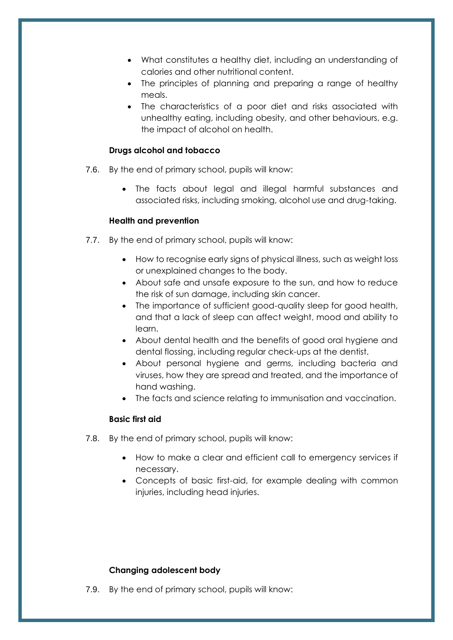- What constitutes a healthy diet, including an understanding of calories and other nutritional content.
- The principles of planning and preparing a range of healthy meals.
- The characteristics of a poor diet and risks associated with unhealthy eating, including obesity, and other behaviours, e.g. the impact of alcohol on health.

#### **Drugs alcohol and tobacco**

- 7.6. By the end of primary school, pupils will know:
	- The facts about legal and illegal harmful substances and associated risks, including smoking, alcohol use and drug-taking.

#### **Health and prevention**

- 7.7. By the end of primary school, pupils will know:
	- How to recognise early signs of physical illness, such as weight loss or unexplained changes to the body.
	- About safe and unsafe exposure to the sun, and how to reduce the risk of sun damage, including skin cancer.
	- The importance of sufficient good-quality sleep for good health, and that a lack of sleep can affect weight, mood and ability to learn.
	- About dental health and the benefits of good oral hygiene and dental flossing, including regular check-ups at the dentist.
	- About personal hygiene and germs, including bacteria and viruses, how they are spread and treated, and the importance of hand washing.
	- The facts and science relating to immunisation and vaccination.

# **Basic first aid**

- 7.8. By the end of primary school, pupils will know:
	- How to make a clear and efficient call to emergency services if necessary.
	- Concepts of basic first-aid, for example dealing with common injuries, including head injuries.

# **Changing adolescent body**

7.9. By the end of primary school, pupils will know: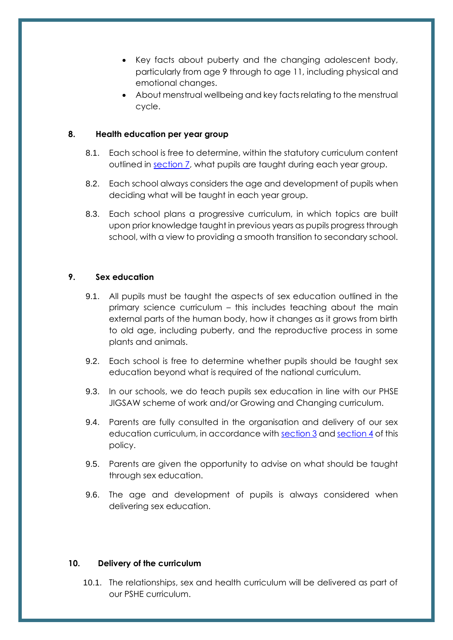- Key facts about puberty and the changing adolescent body, particularly from age 9 through to age 11, including physical and emotional changes.
- About menstrual wellbeing and key facts relating to the menstrual cycle.

# <span id="page-12-0"></span>**8. Health education per year group**

- 8.1. Each school is free to determine, within the statutory curriculum content outlined in [section 7,](#page-9-1) what pupils are taught during each year group.
- 8.2. Each school always considers the age and development of pupils when deciding what will be taught in each year group.
- 8.3. Each school plans a progressive curriculum, in which topics are built upon prior knowledge taught in previous years as pupils progress through school, with a view to providing a smooth transition to secondary school.

#### <span id="page-12-1"></span>**9. Sex education**

- 9.1. All pupils must be taught the aspects of sex education outlined in the primary science curriculum – this includes teaching about the main external parts of the human body, how it changes as it grows from birth to old age, including puberty, and the reproductive process in some plants and animals.
- 9.2. Each school is free to determine whether pupils should be taught sex education beyond what is required of the national curriculum.
- 9.3. In our schools, we do teach pupils sex education in line with our PHSE JIGSAW scheme of work and/or Growing and Changing curriculum.
- 9.4. Parents are fully consulted in the organisation and delivery of our sex education curriculum, in accordance wit[h section 3](#page-5-0) and [section 4](#page-6-0) of this policy.
- 9.5. Parents are given the opportunity to advise on what should be taught through sex education.
- 9.6. The age and development of pupils is always considered when delivering sex education.

#### <span id="page-12-2"></span>**10. Delivery of the curriculum**

10.1. The relationships, sex and health curriculum will be delivered as part of our PSHE curriculum.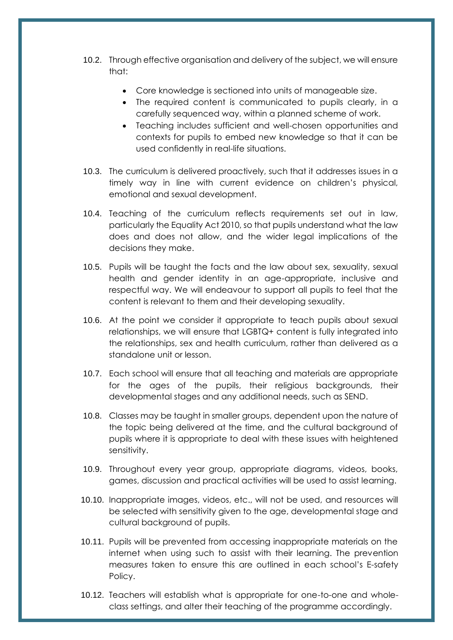- 10.2. Through effective organisation and delivery of the subject, we will ensure that:
	- Core knowledge is sectioned into units of manageable size.
	- The required content is communicated to pupils clearly, in a carefully sequenced way, within a planned scheme of work.
	- Teaching includes sufficient and well-chosen opportunities and contexts for pupils to embed new knowledge so that it can be used confidently in real-life situations.
- 10.3. The curriculum is delivered proactively, such that it addresses issues in a timely way in line with current evidence on children's physical, emotional and sexual development.
- 10.4. Teaching of the curriculum reflects requirements set out in law, particularly the Equality Act 2010, so that pupils understand what the law does and does not allow, and the wider legal implications of the decisions they make.
- 10.5. Pupils will be taught the facts and the law about sex, sexuality, sexual health and gender identity in an age-appropriate, inclusive and respectful way. We will endeavour to support all pupils to feel that the content is relevant to them and their developing sexuality.
- 10.6. At the point we consider it appropriate to teach pupils about sexual relationships, we will ensure that LGBTQ+ content is fully integrated into the relationships, sex and health curriculum, rather than delivered as a standalone unit or lesson.
- 10.7. Each school will ensure that all teaching and materials are appropriate for the ages of the pupils, their religious backgrounds, their developmental stages and any additional needs, such as SEND.
- 10.8. Classes may be taught in smaller groups, dependent upon the nature of the topic being delivered at the time, and the cultural background of pupils where it is appropriate to deal with these issues with heightened sensitivity.
- 10.9. Throughout every year group, appropriate diagrams, videos, books, games, discussion and practical activities will be used to assist learning.
- 10.10. Inappropriate images, videos, etc., will not be used, and resources will be selected with sensitivity given to the age, developmental stage and cultural background of pupils.
- 10.11. Pupils will be prevented from accessing inappropriate materials on the internet when using such to assist with their learning. The prevention measures taken to ensure this are outlined in each school's E-safety Policy.
- 10.12. Teachers will establish what is appropriate for one-to-one and wholeclass settings, and alter their teaching of the programme accordingly.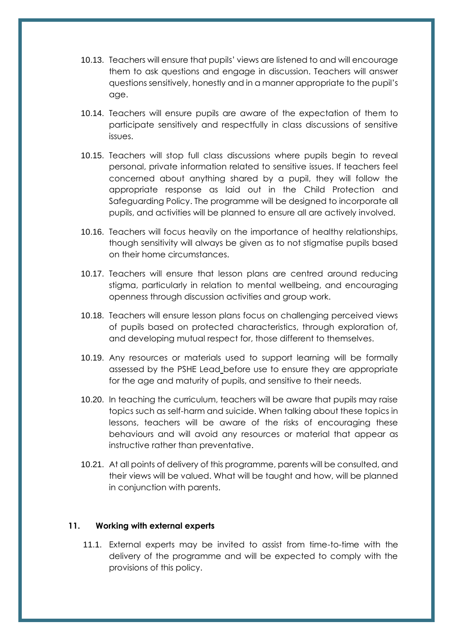- 10.13. Teachers will ensure that pupils' views are listened to and will encourage them to ask questions and engage in discussion. Teachers will answer questions sensitively, honestly and in a manner appropriate to the pupil's age.
- 10.14. Teachers will ensure pupils are aware of the expectation of them to participate sensitively and respectfully in class discussions of sensitive issues.
- 10.15. Teachers will stop full class discussions where pupils begin to reveal personal, private information related to sensitive issues. If teachers feel concerned about anything shared by a pupil, they will follow the appropriate response as laid out in the Child Protection and Safeguarding Policy. The programme will be designed to incorporate all pupils, and activities will be planned to ensure all are actively involved.
- 10.16. Teachers will focus heavily on the importance of healthy relationships, though sensitivity will always be given as to not stigmatise pupils based on their home circumstances.
- 10.17. Teachers will ensure that lesson plans are centred around reducing stigma, particularly in relation to mental wellbeing, and encouraging openness through discussion activities and group work.
- 10.18. Teachers will ensure lesson plans focus on challenging perceived views of pupils based on protected characteristics, through exploration of, and developing mutual respect for, those different to themselves.
- 10.19. Any resources or materials used to support learning will be formally assessed by the PSHE Lead before use to ensure they are appropriate for the age and maturity of pupils, and sensitive to their needs.
- 10.20. In teaching the curriculum, teachers will be aware that pupils may raise topics such as self-harm and suicide. When talking about these topics in lessons, teachers will be aware of the risks of encouraging these behaviours and will avoid any resources or material that appear as instructive rather than preventative.
- 10.21. At all points of delivery of this programme, parents will be consulted, and their views will be valued. What will be taught and how, will be planned in conjunction with parents.

#### <span id="page-14-0"></span>**11. Working with external experts**

11.1. External experts may be invited to assist from time-to-time with the delivery of the programme and will be expected to comply with the provisions of this policy.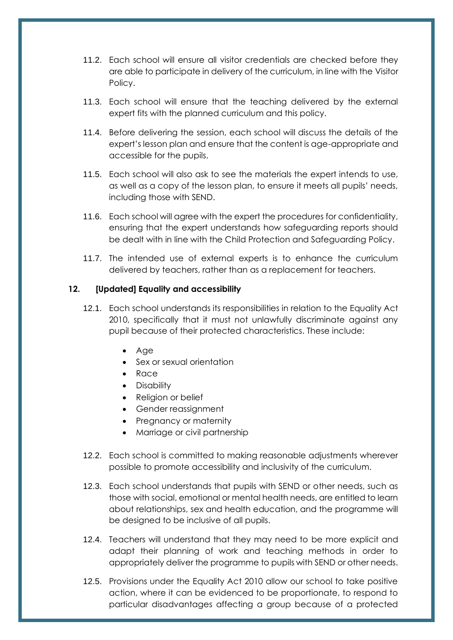- 11.2. Each school will ensure all visitor credentials are checked before they are able to participate in delivery of the curriculum, in line with the Visitor Policy.
- 11.3. Each school will ensure that the teaching delivered by the external expert fits with the planned curriculum and this policy.
- 11.4. Before delivering the session, each school will discuss the details of the expert's lesson plan and ensure that the content is age-appropriate and accessible for the pupils.
- 11.5. Each school will also ask to see the materials the expert intends to use, as well as a copy of the lesson plan, to ensure it meets all pupils' needs, including those with SEND.
- 11.6. Each school will agree with the expert the procedures for confidentiality, ensuring that the expert understands how safeguarding reports should be dealt with in line with the Child Protection and Safeguarding Policy.
- 11.7. The intended use of external experts is to enhance the curriculum delivered by teachers, rather than as a replacement for teachers.

# <span id="page-15-0"></span>**12. [Updated] Equality and accessibility**

- 12.1. Each school understands its responsibilities in relation to the Equality Act 2010, specifically that it must not unlawfully discriminate against any pupil because of their protected characteristics. These include:
	- Age
	- Sex or sexual orientation
	- Race
	- Disability
	- Religion or belief
	- Gender reassignment
	- Pregnancy or maternity
	- Marriage or civil partnership
- 12.2. Each school is committed to making reasonable adjustments wherever possible to promote accessibility and inclusivity of the curriculum.
- 12.3. Each school understands that pupils with SEND or other needs, such as those with social, emotional or mental health needs, are entitled to learn about relationships, sex and health education, and the programme will be designed to be inclusive of all pupils.
- 12.4. Teachers will understand that they may need to be more explicit and adapt their planning of work and teaching methods in order to appropriately deliver the programme to pupils with SEND or other needs.
- 12.5. Provisions under the Equality Act 2010 allow our school to take positive action, where it can be evidenced to be proportionate, to respond to particular disadvantages affecting a group because of a protected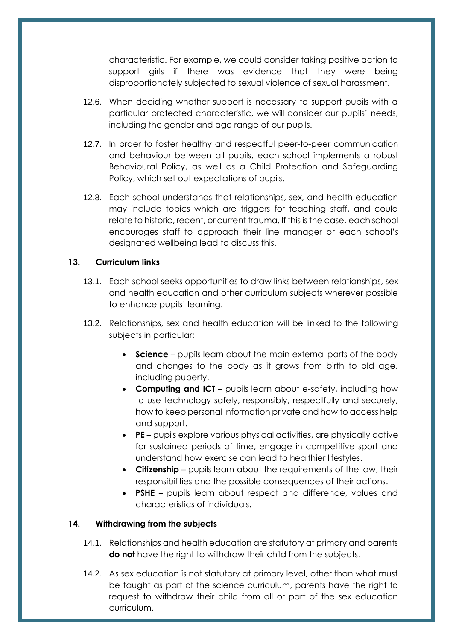characteristic. For example, we could consider taking positive action to support girls if there was evidence that they were being disproportionately subjected to sexual violence of sexual harassment.

- 12.6. When deciding whether support is necessary to support pupils with a particular protected characteristic, we will consider our pupils' needs, including the gender and age range of our pupils.
- 12.7. In order to foster healthy and respectful peer-to-peer communication and behaviour between all pupils, each school implements a robust Behavioural Policy, as well as a Child Protection and Safeguarding Policy, which set out expectations of pupils.
- 12.8. Each school understands that relationships, sex, and health education may include topics which are triggers for teaching staff, and could relate to historic, recent, or current trauma. If this is the case, each school encourages staff to approach their line manager or each school's designated wellbeing lead to discuss this.

#### <span id="page-16-0"></span>**13. Curriculum links**

- 13.1. Each school seeks opportunities to draw links between relationships, sex and health education and other curriculum subjects wherever possible to enhance pupils' learning.
- 13.2. Relationships, sex and health education will be linked to the following subjects in particular:
	- **Science** pupils learn about the main external parts of the body and changes to the body as it grows from birth to old age, including puberty.
	- **Computing and ICT** pupils learn about e-safety, including how to use technology safely, responsibly, respectfully and securely, how to keep personal information private and how to access help and support.
	- **PE**  pupils explore various physical activities, are physically active for sustained periods of time, engage in competitive sport and understand how exercise can lead to healthier lifestyles.
	- **Citizenship**  pupils learn about the requirements of the law, their responsibilities and the possible consequences of their actions.
	- **PSHE**  pupils learn about respect and difference, values and characteristics of individuals.

#### <span id="page-16-1"></span>**14. Withdrawing from the subjects**

- 14.1. Relationships and health education are statutory at primary and parents **do not** have the right to withdraw their child from the subjects.
- 14.2. As sex education is not statutory at primary level, other than what must be taught as part of the science curriculum, parents have the right to request to withdraw their child from all or part of the sex education curriculum.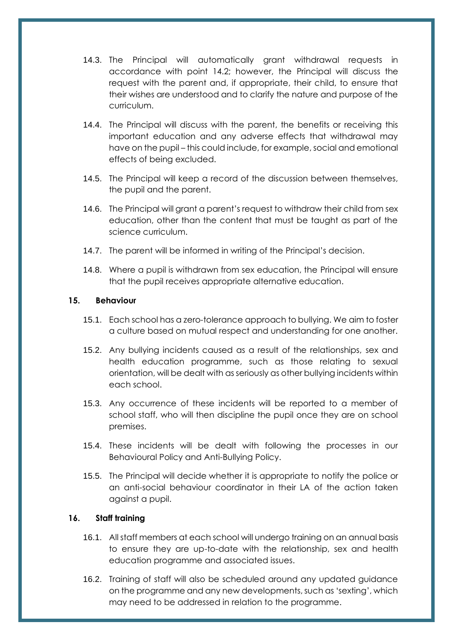- 14.3. The Principal will automatically grant withdrawal requests in accordance with point 14.2; however, the Principal will discuss the request with the parent and, if appropriate, their child, to ensure that their wishes are understood and to clarify the nature and purpose of the curriculum.
- 14.4. The Principal will discuss with the parent, the benefits or receiving this important education and any adverse effects that withdrawal may have on the pupil – this could include, for example, social and emotional effects of being excluded.
- 14.5. The Principal will keep a record of the discussion between themselves, the pupil and the parent.
- 14.6. The Principal will grant a parent's request to withdraw their child from sex education, other than the content that must be taught as part of the science curriculum.
- 14.7. The parent will be informed in writing of the Principal's decision.
- 14.8. Where a pupil is withdrawn from sex education, the Principal will ensure that the pupil receives appropriate alternative education.

#### <span id="page-17-0"></span>**15. Behaviour**

- 15.1. Each school has a zero-tolerance approach to bullying. We aim to foster a culture based on mutual respect and understanding for one another.
- 15.2. Any bullying incidents caused as a result of the relationships, sex and health education programme, such as those relating to sexual orientation, will be dealt with as seriously as other bullying incidents within each school.
- 15.3. Any occurrence of these incidents will be reported to a member of school staff, who will then discipline the pupil once they are on school premises.
- 15.4. These incidents will be dealt with following the processes in our Behavioural Policy and Anti-Bullying Policy.
- 15.5. The Principal will decide whether it is appropriate to notify the police or an anti-social behaviour coordinator in their LA of the action taken against a pupil.

# <span id="page-17-1"></span>**16. Staff training**

- 16.1. All staff members at each school will undergo training on an annual basis to ensure they are up-to-date with the relationship, sex and health education programme and associated issues.
- 16.2. Training of staff will also be scheduled around any updated guidance on the programme and any new developments, such as 'sexting', which may need to be addressed in relation to the programme.